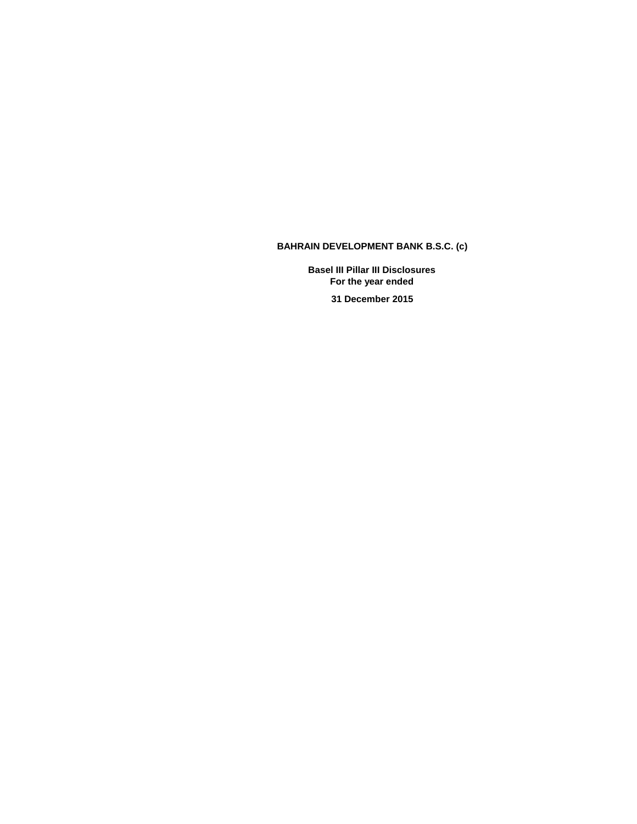# **BAHRAIN DEVELOPMENT BANK B.S.C. (c)**

**Basel III Pillar III Disclosures For the year ended** 

**31 December 2015**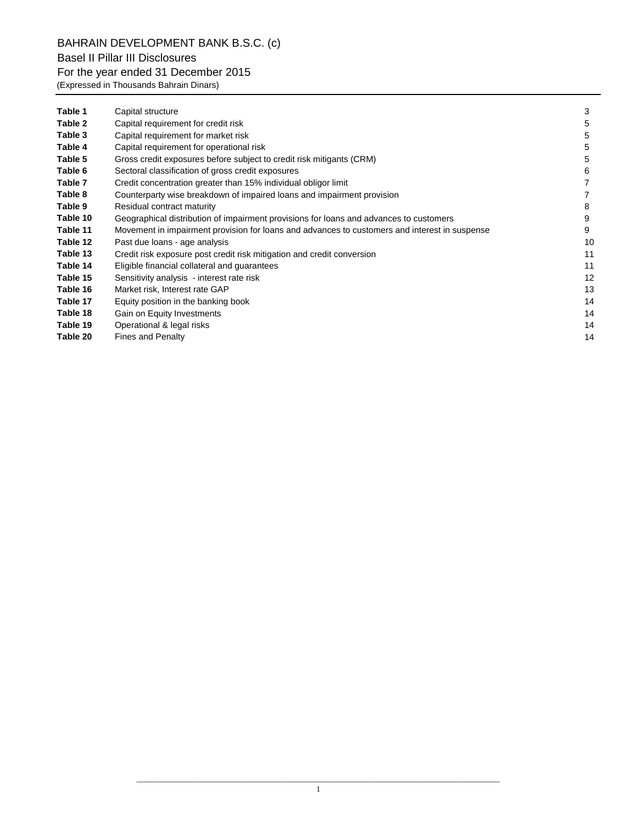BAHRAIN DEVELOPMENT BANK B.S.C. (c) Basel II Pillar III Disclosures

# For the year ended 31 December 2015

(Expressed in Thousands Bahrain Dinars)

| Table 1  | Capital structure                                                                             | 3  |
|----------|-----------------------------------------------------------------------------------------------|----|
| Table 2  | Capital requirement for credit risk                                                           | 5  |
| Table 3  | Capital requirement for market risk                                                           | 5  |
| Table 4  | Capital requirement for operational risk                                                      | 5  |
| Table 5  | Gross credit exposures before subject to credit risk mitigants (CRM)                          | 5  |
| Table 6  | Sectoral classification of gross credit exposures                                             | 6  |
| Table 7  | Credit concentration greater than 15% individual obligor limit                                |    |
| Table 8  | Counterparty wise breakdown of impaired loans and impairment provision                        |    |
| Table 9  | Residual contract maturity                                                                    | 8  |
| Table 10 | Geographical distribution of impairment provisions for loans and advances to customers        | 9  |
| Table 11 | Movement in impairment provision for loans and advances to customers and interest in suspense | 9  |
| Table 12 | Past due loans - age analysis                                                                 | 10 |
| Table 13 | Credit risk exposure post credit risk mitigation and credit conversion                        | 11 |
| Table 14 | Eligible financial collateral and guarantees                                                  | 11 |
| Table 15 | Sensitivity analysis - interest rate risk                                                     | 12 |
| Table 16 | Market risk, Interest rate GAP                                                                | 13 |
| Table 17 | Equity position in the banking book                                                           | 14 |
| Table 18 | Gain on Equity Investments                                                                    | 14 |
| Table 19 | Operational & legal risks                                                                     | 14 |
| Table 20 | <b>Fines and Penalty</b>                                                                      | 14 |
|          |                                                                                               |    |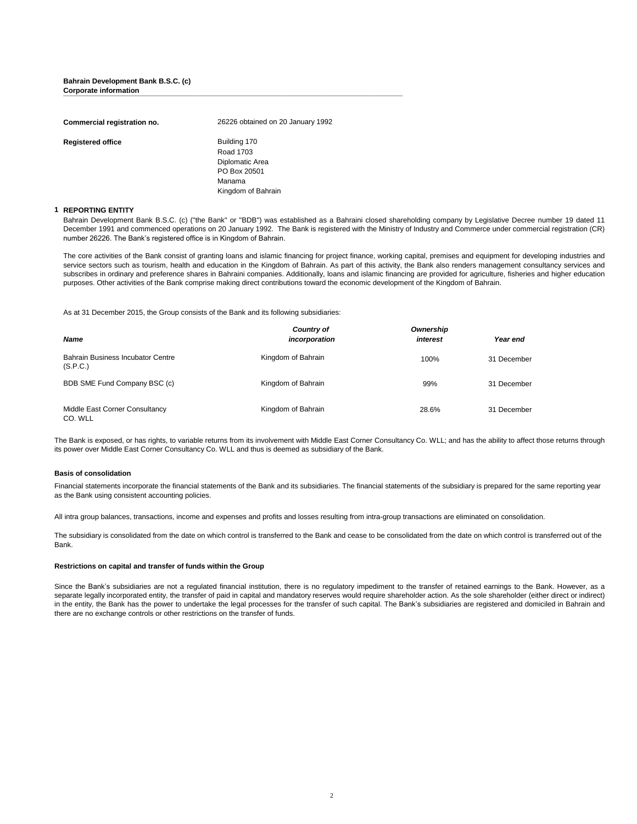## **Bahrain Development Bank B.S.C. (c) Corporate information \_\_\_\_\_\_\_\_\_\_\_\_\_\_\_\_\_\_\_\_\_\_\_\_\_\_\_\_\_\_\_\_\_\_\_\_\_\_\_\_\_\_\_\_\_\_\_\_\_\_\_\_\_\_\_\_\_\_\_\_\_\_\_\_\_\_\_\_\_\_\_\_\_\_\_\_\_\_\_\_\_\_\_\_\_**

| Commercial registration no. | 26226 obtained on 20 January 1992                                                            |
|-----------------------------|----------------------------------------------------------------------------------------------|
| <b>Registered office</b>    | Building 170<br>Road 1703<br>Diplomatic Area<br>PO Box 20501<br>Manama<br>Kingdom of Bahrain |

### **1 REPORTING ENTITY**

Bahrain Development Bank B.S.C. (c) ("the Bank" or "BDB") was established as a Bahraini closed shareholding company by Legislative Decree number 19 dated 11 December 1991 and commenced operations on 20 January 1992. The Bank is registered with the Ministry of Industry and Commerce under commercial registration (CR) number 26226. The Bank's registered office is in Kingdom of Bahrain.

The core activities of the Bank consist of granting loans and islamic financing for project finance, working capital, premises and equipment for developing industries and service sectors such as tourism, health and education in the Kingdom of Bahrain. As part of this activity, the Bank also renders management consultancy services and subscribes in ordinary and preference shares in Bahraini companies. Additionally, loans and islamic financing are provided for agriculture, fisheries and higher education purposes. Other activities of the Bank comprise making direct contributions toward the economic development of the Kingdom of Bahrain.

As at 31 December 2015, the Group consists of the Bank and its following subsidiaries:

| <b>Name</b>                                   | Country of<br>incorporation | Ownership<br>interest | Year end    |
|-----------------------------------------------|-----------------------------|-----------------------|-------------|
| Bahrain Business Incubator Centre<br>(S.P.C.) | Kingdom of Bahrain          | 100%                  | 31 December |
| BDB SME Fund Company BSC (c)                  | Kingdom of Bahrain          | 99%                   | 31 December |
| Middle East Corner Consultancy<br>CO. WLL     | Kingdom of Bahrain          | 28.6%                 | 31 December |

The Bank is exposed, or has rights, to variable returns from its involvement with Middle East Corner Consultancy Co. WLL; and has the ability to affect those returns through its power over Middle East Corner Consultancy Co. WLL and thus is deemed as subsidiary of the Bank.

### **Basis of consolidation**

Financial statements incorporate the financial statements of the Bank and its subsidiaries. The financial statements of the subsidiary is prepared for the same reporting year as the Bank using consistent accounting policies.

All intra group balances, transactions, income and expenses and profits and losses resulting from intra-group transactions are eliminated on consolidation.

The subsidiary is consolidated from the date on which control is transferred to the Bank and cease to be consolidated from the date on which control is transferred out of the Bank.

### **Restrictions on capital and transfer of funds within the Group**

Since the Bank's subsidiaries are not a regulated financial institution, there is no regulatory impediment to the transfer of retained earnings to the Bank. However, as a separate legally incorporated entity, the transfer of paid in capital and mandatory reserves would require shareholder action. As the sole shareholder (either direct or indirect) in the entity, the Bank has the power to undertake the legal processes for the transfer of such capital. The Bank's subsidiaries are registered and domiciled in Bahrain and there are no exchange controls or other restrictions on the transfer of funds.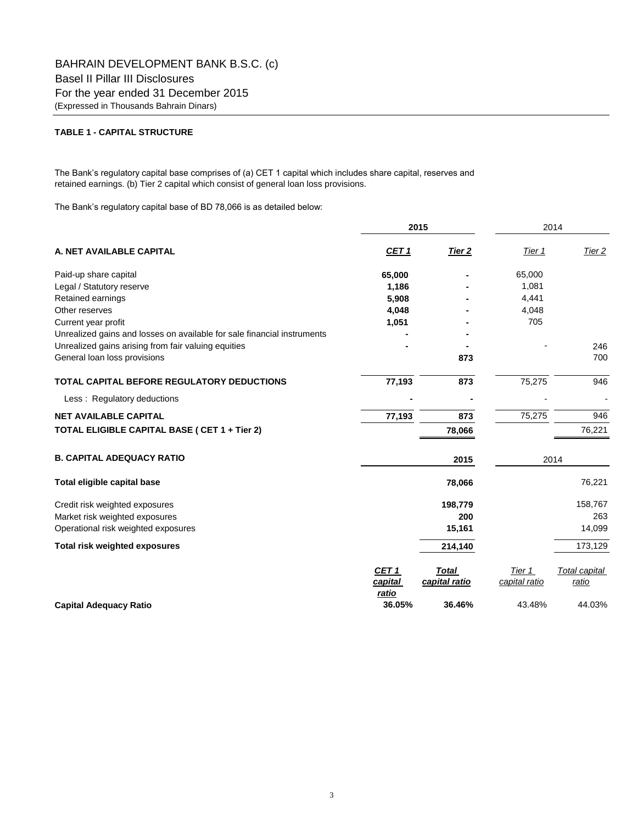## **TABLE 1 - CAPITAL STRUCTURE**

The Bank's regulatory capital base comprises of (a) CET 1 capital which includes share capital, reserves and retained earnings. (b) Tier 2 capital which consist of general loan loss provisions.

The Bank's regulatory capital base of BD 78,066 is as detailed below:

|                                                                         | 2015                             |                               | 2014                    |                        |  |
|-------------------------------------------------------------------------|----------------------------------|-------------------------------|-------------------------|------------------------|--|
| A. NET AVAILABLE CAPITAL                                                | <u>CET 1</u>                     | <u>Tier 2</u>                 | Tier 1                  | Tier 2                 |  |
| Paid-up share capital                                                   | 65,000                           |                               | 65,000                  |                        |  |
| Legal / Statutory reserve                                               | 1,186                            |                               | 1,081                   |                        |  |
| Retained earnings                                                       | 5,908                            |                               | 4,441                   |                        |  |
| Other reserves                                                          | 4,048                            |                               | 4,048                   |                        |  |
| Current year profit                                                     | 1,051                            |                               | 705                     |                        |  |
| Unrealized gains and losses on available for sale financial instruments |                                  |                               |                         |                        |  |
| Unrealized gains arising from fair valuing equities                     |                                  |                               |                         | 246                    |  |
| General loan loss provisions                                            |                                  | 873                           |                         | 700                    |  |
| TOTAL CAPITAL BEFORE REGULATORY DEDUCTIONS                              | 77,193                           | 873                           | 75,275                  | 946                    |  |
| Less: Regulatory deductions                                             |                                  |                               |                         |                        |  |
| <b>NET AVAILABLE CAPITAL</b>                                            | 77,193                           | 873                           | 75,275                  | 946                    |  |
| TOTAL ELIGIBLE CAPITAL BASE ( CET 1 + Tier 2)                           |                                  | 78,066                        |                         | 76,221                 |  |
| <b>B. CAPITAL ADEQUACY RATIO</b>                                        |                                  | 2015                          |                         | 2014                   |  |
| Total eligible capital base                                             |                                  | 78,066                        |                         | 76,221                 |  |
| Credit risk weighted exposures                                          |                                  | 198,779                       |                         | 158,767                |  |
| Market risk weighted exposures                                          |                                  | 200                           |                         | 263                    |  |
| Operational risk weighted exposures                                     |                                  | 15,161                        |                         | 14,099                 |  |
| <b>Total risk weighted exposures</b>                                    |                                  | 214,140                       |                         | 173,129                |  |
|                                                                         | <b>CET 1</b><br>capital<br>ratio | <b>Total</b><br>capital ratio | Tier 1<br>capital ratio | Total capital<br>ratio |  |
| <b>Capital Adequacy Ratio</b>                                           | 36.05%                           | 36.46%                        | 43.48%                  | 44.03%                 |  |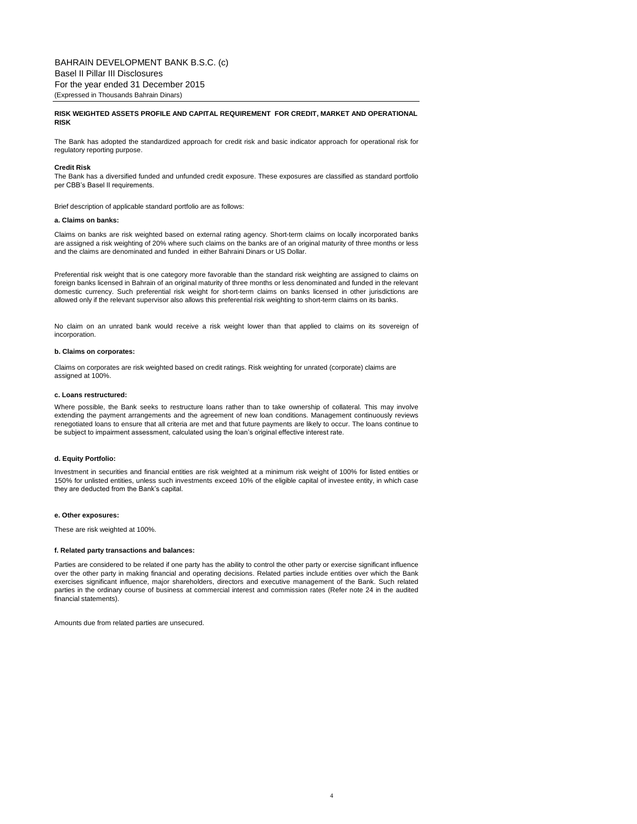### **RISK WEIGHTED ASSETS PROFILE AND CAPITAL REQUIREMENT FOR CREDIT, MARKET AND OPERATIONAL RISK**

The Bank has adopted the standardized approach for credit risk and basic indicator approach for operational risk for regulatory reporting purpose.

#### **Credit Risk**

The Bank has a diversified funded and unfunded credit exposure. These exposures are classified as standard portfolio per CBB's Basel II requirements.

Brief description of applicable standard portfolio are as follows:

#### **a. Claims on banks:**

Claims on banks are risk weighted based on external rating agency. Short-term claims on locally incorporated banks are assigned a risk weighting of 20% where such claims on the banks are of an original maturity of three months or less and the claims are denominated and funded in either Bahraini Dinars or US Dollar.

Preferential risk weight that is one category more favorable than the standard risk weighting are assigned to claims on foreign banks licensed in Bahrain of an original maturity of three months or less denominated and funded in the relevant domestic currency. Such preferential risk weight for short-term claims on banks licensed in other jurisdictions are allowed only if the relevant supervisor also allows this preferential risk weighting to short-term claims on its banks.

No claim on an unrated bank would receive a risk weight lower than that applied to claims on its sovereign of incorporation.

#### **b. Claims on corporates:**

Claims on corporates are risk weighted based on credit ratings. Risk weighting for unrated (corporate) claims are assigned at 100%.

#### **c. Loans restructured:**

Where possible, the Bank seeks to restructure loans rather than to take ownership of collateral. This may involve extending the payment arrangements and the agreement of new loan conditions. Management continuously reviews renegotiated loans to ensure that all criteria are met and that future payments are likely to occur. The loans continue to be subject to impairment assessment, calculated using the loan's original effective interest rate.

### **d. Equity Portfolio:**

Investment in securities and financial entities are risk weighted at a minimum risk weight of 100% for listed entities or 150% for unlisted entities, unless such investments exceed 10% of the eligible capital of investee entity, in which case they are deducted from the Bank's capital.

#### **e. Other exposures:**

These are risk weighted at 100%.

#### **f. Related party transactions and balances:**

Parties are considered to be related if one party has the ability to control the other party or exercise significant influence over the other party in making financial and operating decisions. Related parties include entities over which the Bank exercises significant influence, major shareholders, directors and executive management of the Bank. Such related parties in the ordinary course of business at commercial interest and commission rates (Refer note 24 in the audited financial statements).

Amounts due from related parties are unsecured.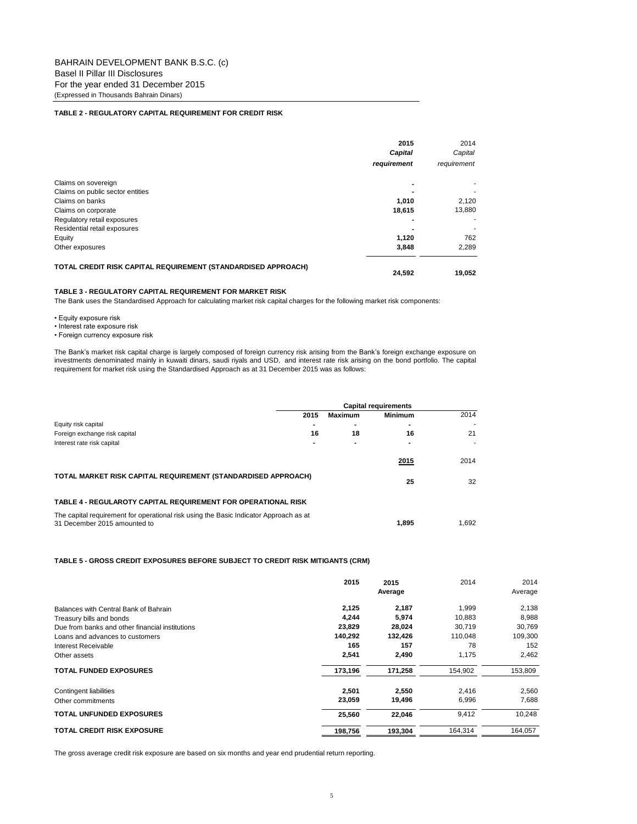## **TABLE 2 - REGULATORY CAPITAL REQUIREMENT FOR CREDIT RISK**

|                                                               | 2015        | 2014        |
|---------------------------------------------------------------|-------------|-------------|
|                                                               | Capital     | Capital     |
|                                                               | requirement | requirement |
| Claims on sovereign                                           |             |             |
| Claims on public sector entities                              |             |             |
| Claims on banks                                               | 1,010       | 2,120       |
| Claims on corporate                                           | 18,615      | 13,880      |
| Regulatory retail exposures                                   |             |             |
| Residential retail exposures                                  |             |             |
| Equity                                                        | 1,120       | 762         |
| Other exposures                                               | 3,848       | 2,289       |
| TOTAL CREDIT RISK CAPITAL REQUIREMENT (STANDARDISED APPROACH) | 24.592      | 19.052      |

## **TABLE 3 - REGULATORY CAPITAL REQUIREMENT FOR MARKET RISK**

The Bank uses the Standardised Approach for calculating market risk capital charges for the following market risk components:

• Equity exposure risk

• Interest rate exposure risk

• Foreign currency exposure risk

The Bank's market risk capital charge is largely composed of foreign currency risk arising from the Bank's foreign exchange exposure on investments denominated mainly in kuwaiti dinars, saudi riyals and USD, and interest rate risk arising on the bond portfolio. The capital requirement for market risk using the Standardised Approach as at 31 December 2015 was as follows:

|                                                                                                                       | <b>Capital requirements</b> |         |                |       |  |
|-----------------------------------------------------------------------------------------------------------------------|-----------------------------|---------|----------------|-------|--|
|                                                                                                                       | 2015                        | Maximum | <b>Minimum</b> | 2014  |  |
| Equity risk capital                                                                                                   |                             | -       | $\blacksquare$ |       |  |
| Foreign exchange risk capital                                                                                         | 16                          | 18      | 16             | 21    |  |
| Interest rate risk capital                                                                                            |                             |         | -              |       |  |
|                                                                                                                       |                             |         | 2015           | 2014  |  |
| TOTAL MARKET RISK CAPITAL REQUIREMENT (STANDARDISED APPROACH)                                                         |                             |         | 25             | 32    |  |
| TABLE 4 - REGULAROTY CAPITAL REQUIREMENT FOR OPERATIONAL RISK                                                         |                             |         |                |       |  |
| The capital requirement for operational risk using the Basic Indicator Approach as at<br>31 December 2015 amounted to |                             |         | 1.895          | 1.692 |  |

## **TABLE 5 - GROSS CREDIT EXPOSURES BEFORE SUBJECT TO CREDIT RISK MITIGANTS (CRM)**

|                                                 | 2015    | 2015<br>Average | 2014    | 2014<br>Average |
|-------------------------------------------------|---------|-----------------|---------|-----------------|
| Balances with Central Bank of Bahrain           | 2,125   | 2,187           | 1.999   | 2,138           |
| Treasury bills and bonds                        | 4.244   | 5,974           | 10,883  | 8,988           |
| Due from banks and other financial institutions | 23,829  | 28,024          | 30,719  | 30,769          |
| Loans and advances to customers                 | 140,292 | 132,426         | 110,048 | 109,300         |
| Interest Receivable                             | 165     | 157             | 78      | 152             |
| Other assets                                    | 2,541   | 2,490           | 1,175   | 2,462           |
| <b>TOTAL FUNDED EXPOSURES</b>                   | 173,196 | 171,258         | 154,902 | 153,809         |
| Contingent liabilities                          | 2,501   | 2,550           | 2,416   | 2,560           |
| Other commitments                               | 23,059  | 19,496          | 6,996   | 7,688           |
| <b>TOTAL UNFUNDED EXPOSURES</b>                 | 25.560  | 22,046          | 9,412   | 10,248          |
| <b>TOTAL CREDIT RISK EXPOSURE</b>               | 198,756 | 193,304         | 164,314 | 164,057         |

The gross average credit risk exposure are based on six months and year end prudential return reporting.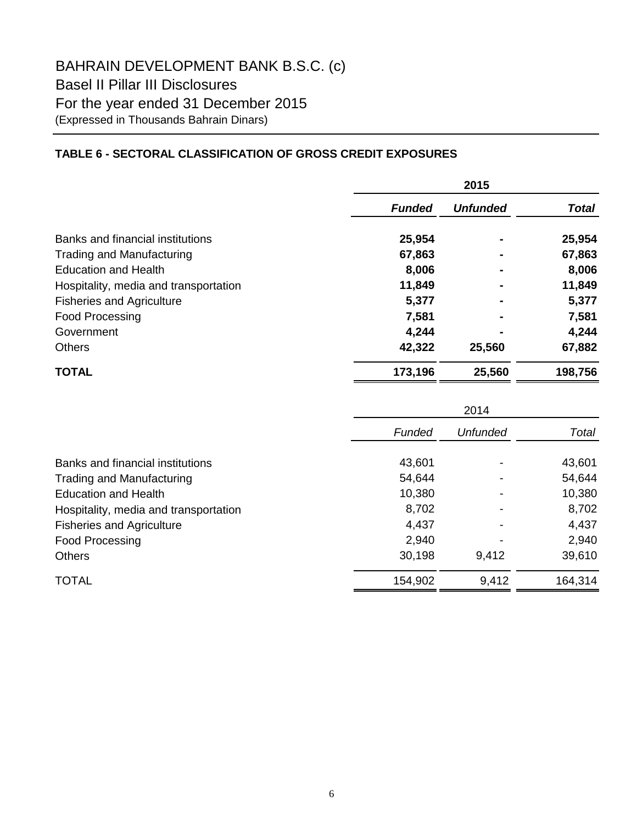# **TABLE 6 - SECTORAL CLASSIFICATION OF GROSS CREDIT EXPOSURES**

|                                       | 2015          |                 |              |  |
|---------------------------------------|---------------|-----------------|--------------|--|
|                                       | <b>Funded</b> | <b>Unfunded</b> | <b>Total</b> |  |
| Banks and financial institutions      | 25,954        |                 | 25,954       |  |
| Trading and Manufacturing             | 67,863        | $\blacksquare$  | 67,863       |  |
| <b>Education and Health</b>           | 8,006         |                 | 8,006        |  |
| Hospitality, media and transportation | 11,849        |                 | 11,849       |  |
| <b>Fisheries and Agriculture</b>      | 5,377         |                 | 5,377        |  |
| Food Processing                       | 7,581         |                 | 7,581        |  |
| Government                            | 4,244         |                 | 4,244        |  |
| <b>Others</b>                         | 42,322        | 25,560          | 67,882       |  |
| <b>TOTAL</b>                          | 173,196       | 25,560          | 198,756      |  |

|                                       | 2014    |          |         |  |
|---------------------------------------|---------|----------|---------|--|
|                                       | Funded  | Unfunded | Total   |  |
| Banks and financial institutions      | 43,601  |          | 43,601  |  |
| <b>Trading and Manufacturing</b>      | 54,644  |          | 54,644  |  |
| <b>Education and Health</b>           | 10,380  |          | 10,380  |  |
| Hospitality, media and transportation | 8,702   |          | 8,702   |  |
| <b>Fisheries and Agriculture</b>      | 4,437   |          | 4,437   |  |
| Food Processing                       | 2,940   |          | 2,940   |  |
| <b>Others</b>                         | 30,198  | 9,412    | 39,610  |  |
| <b>TOTAL</b>                          | 154,902 | 9,412    | 164,314 |  |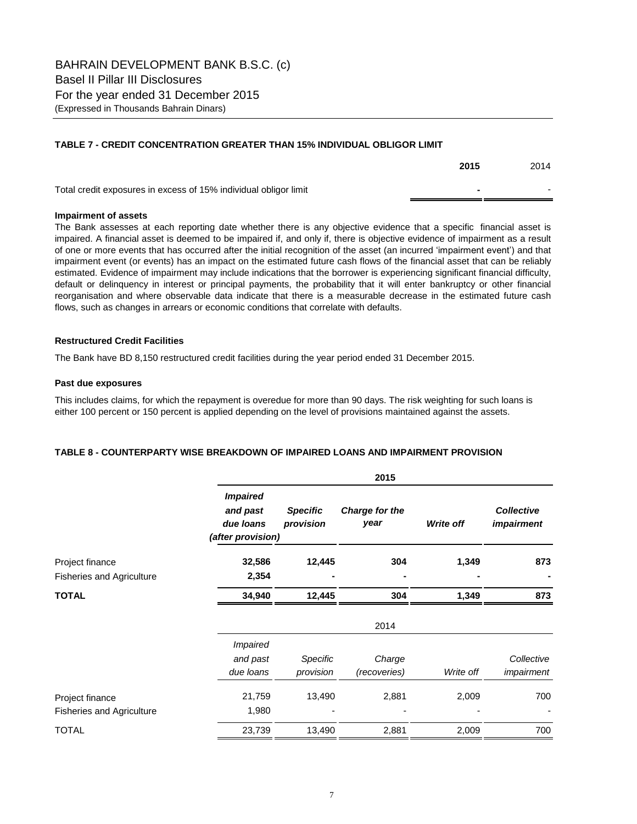## **TABLE 7 - CREDIT CONCENTRATION GREATER THAN 15% INDIVIDUAL OBLIGOR LIMIT**

|                                                                  | 2015 | 2014 |
|------------------------------------------------------------------|------|------|
| Total credit exposures in excess of 15% individual obligor limit |      |      |

## **Impairment of assets**

The Bank assesses at each reporting date whether there is any objective evidence that a specific financial asset is impaired. A financial asset is deemed to be impaired if, and only if, there is objective evidence of impairment as a result of one or more events that has occurred after the initial recognition of the asset (an incurred 'impairment event') and that impairment event (or events) has an impact on the estimated future cash flows of the financial asset that can be reliably estimated. Evidence of impairment may include indications that the borrower is experiencing significant financial difficulty, default or delinquency in interest or principal payments, the probability that it will enter bankruptcy or other financial reorganisation and where observable data indicate that there is a measurable decrease in the estimated future cash flows, such as changes in arrears or economic conditions that correlate with defaults.

## **Restructured Credit Facilities**

The Bank have BD 8,150 restructured credit facilities during the year period ended 31 December 2015.

## **Past due exposures**

This includes claims, for which the repayment is overedue for more than 90 days. The risk weighting for such loans is either 100 percent or 150 percent is applied depending on the level of provisions maintained against the assets.

## **TABLE 8 - COUNTERPARTY WISE BREAKDOWN OF IMPAIRED LOANS AND IMPAIRMENT PROVISION**

|                                  |                                                               |                              | 2015                   |           |                                        |
|----------------------------------|---------------------------------------------------------------|------------------------------|------------------------|-----------|----------------------------------------|
|                                  | <b>Impaired</b><br>and past<br>due loans<br>(after provision) | <b>Specific</b><br>provision | Charge for the<br>year | Write off | <b>Collective</b><br><i>impairment</i> |
| Project finance                  | 32,586                                                        | 12,445                       | 304                    | 1,349     | 873                                    |
| <b>Fisheries and Agriculture</b> | 2,354                                                         |                              |                        |           |                                        |
| TOTAL                            | 34,940                                                        | 12,445                       | 304                    | 1,349     | 873                                    |
|                                  |                                                               |                              | 2014                   |           |                                        |
|                                  | <i><b>Impaired</b></i>                                        |                              |                        |           |                                        |
|                                  | and past                                                      | Specific                     | Charge                 |           | Collective                             |
|                                  | due loans                                                     | provision                    | (recoveries)           | Write off | impairment                             |
| Project finance                  | 21,759                                                        | 13,490                       | 2,881                  | 2,009     | 700                                    |
| <b>Fisheries and Agriculture</b> | 1,980                                                         |                              |                        |           |                                        |
| <b>TOTAL</b>                     | 23,739                                                        | 13,490                       | 2,881                  | 2,009     | 700                                    |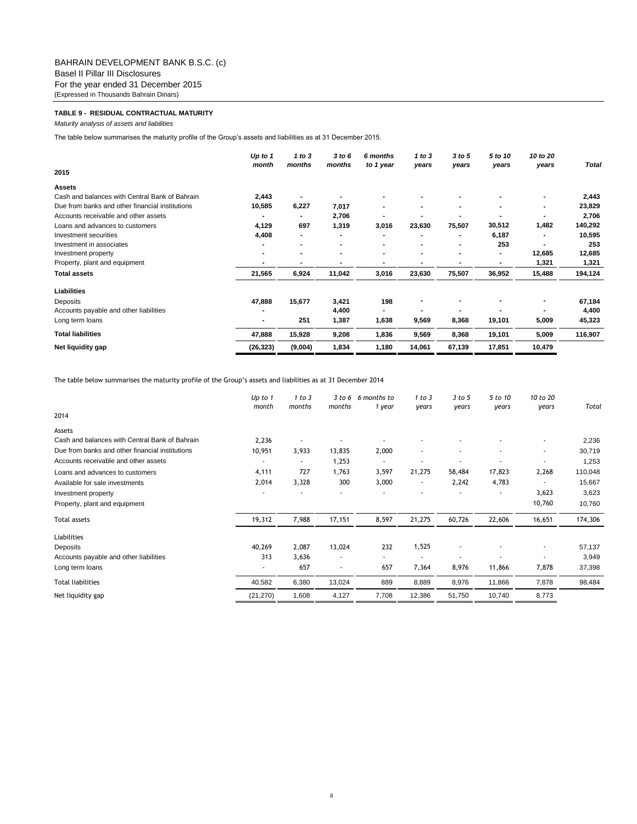## **TABLE 9 - RESIDUAL CONTRACTUAL MATURITY**

*Maturity analysis of assets and liabilities*

The table below summarises the maturity profile of the Group's assets and liabilities as at 31 December 2015.

|                                                 | Up to 1<br>month | 1 to $3$<br>months | 3 to 6<br>months | 6 months<br>to 1 year    | 1 to $3$<br>years | 3 to 5<br>years | 5 to 10<br>years | 10 to 20<br>years | <b>Total</b> |
|-------------------------------------------------|------------------|--------------------|------------------|--------------------------|-------------------|-----------------|------------------|-------------------|--------------|
| 2015                                            |                  |                    |                  |                          |                   |                 |                  |                   |              |
| <b>Assets</b>                                   |                  |                    |                  |                          |                   |                 |                  |                   |              |
| Cash and balances with Central Bank of Bahrain  | 2,443            |                    |                  |                          |                   |                 |                  |                   | 2,443        |
| Due from banks and other financial institutions | 10,585           | 6,227              | 7,017            |                          |                   |                 |                  |                   | 23,829       |
| Accounts receivable and other assets            |                  |                    | 2,706            |                          |                   |                 |                  |                   | 2,706        |
| Loans and advances to customers                 | 4,129            | 697                | 1,319            | 3,016                    | 23,630            | 75,507          | 30,512           | 1,482             | 140,292      |
| Investment securities                           | 4,408            | ۰                  |                  |                          |                   |                 | 6,187            |                   | 10,595       |
| Investment in associates                        |                  |                    |                  |                          |                   |                 | 253              |                   | 253          |
| Investment property                             |                  |                    |                  |                          |                   |                 |                  | 12,685            | 12,685       |
| Property, plant and equipment                   |                  |                    |                  |                          |                   |                 |                  | 1,321             | 1,321        |
| <b>Total assets</b>                             | 21,565           | 6,924              | 11,042           | 3,016                    | 23,630            | 75,507          | 36,952           | 15,488            | 194,124      |
| Liabilities                                     |                  |                    |                  |                          |                   |                 |                  |                   |              |
| Deposits                                        | 47,888           | 15,677             | 3,421            | 198                      |                   |                 |                  |                   | 67,184       |
| Accounts payable and other liabilities          |                  |                    | 4,400            | $\overline{\phantom{0}}$ |                   |                 |                  |                   | 4,400        |
| Long term loans                                 | $\blacksquare$   | 251                | 1,387            | 1,638                    | 9,569             | 8,368           | 19,101           | 5,009             | 45,323       |
| <b>Total liabilities</b>                        | 47,888           | 15,928             | 9,208            | 1,836                    | 9,569             | 8,368           | 19,101           | 5,009             | 116,907      |
| Net liquidity gap                               | (26, 323)        | (9,004)            | 1,834            | 1,180                    | 14,061            | 67,139          | 17,851           | 10,479            |              |

The table below summarises the maturity profile of the Group's assets and liabilities as at 31 December 2014

|                                                 | Up to 1<br>month | 1 to 3<br>months | 3 to 6<br>months | 6 months to<br>1 year | 1 to 3<br>years          | 3 to 5<br>years | 5 to 10<br>years | 10 to 20<br>years | Total   |
|-------------------------------------------------|------------------|------------------|------------------|-----------------------|--------------------------|-----------------|------------------|-------------------|---------|
| 2014                                            |                  |                  |                  |                       |                          |                 |                  |                   |         |
| Assets                                          |                  |                  |                  |                       |                          |                 |                  |                   |         |
| Cash and balances with Central Bank of Bahrain  | 2,236            |                  |                  |                       |                          |                 |                  |                   | 2,236   |
| Due from banks and other financial institutions | 10,951           | 3,933            | 13,835           | 2,000                 | ٠                        |                 |                  | ٠                 | 30,719  |
| Accounts receivable and other assets            |                  |                  | 1,253            | ٠                     |                          |                 |                  |                   | 1,253   |
| Loans and advances to customers                 | 4,111            | 727              | 1,763            | 3,597                 | 21,275                   | 58,484          | 17,823           | 2,268             | 110,048 |
| Available for sale investments                  | 2,014            | 3,328            | 300              | 3,000                 | $\overline{\phantom{a}}$ | 2,242           | 4,783            |                   | 15,667  |
| Investment property                             |                  |                  |                  |                       |                          |                 |                  | 3,623             | 3,623   |
| Property, plant and equipment                   |                  |                  |                  |                       |                          |                 |                  | 10,760            | 10,760  |
| Total assets                                    | 19,312           | 7,988            | 17,151           | 8,597                 | 21,275                   | 60,726          | 22,606           | 16,651            | 174,306 |
| Liabilities                                     |                  |                  |                  |                       |                          |                 |                  |                   |         |
| Deposits                                        | 40,269           | 2,087            | 13,024           | 232                   | 1,525                    |                 |                  |                   | 57,137  |
| Accounts payable and other liabilities          | 313              | 3,636            | ٠                | ÷                     | $\overline{\phantom{a}}$ |                 |                  |                   | 3,949   |
| Long term loans                                 | ٠                | 657              | ٠                | 657                   | 7,364                    | 8,976           | 11,866           | 7,878             | 37,398  |
| <b>Total liabilities</b>                        | 40,582           | 6,380            | 13,024           | 889                   | 8,889                    | 8,976           | 11,866           | 7,878             | 98,484  |
| Net liquidity gap                               | (21, 270)        | 1,608            | 4,127            | 7,708                 | 12,386                   | 51,750          | 10,740           | 8,773             |         |
|                                                 |                  |                  |                  |                       |                          |                 |                  |                   |         |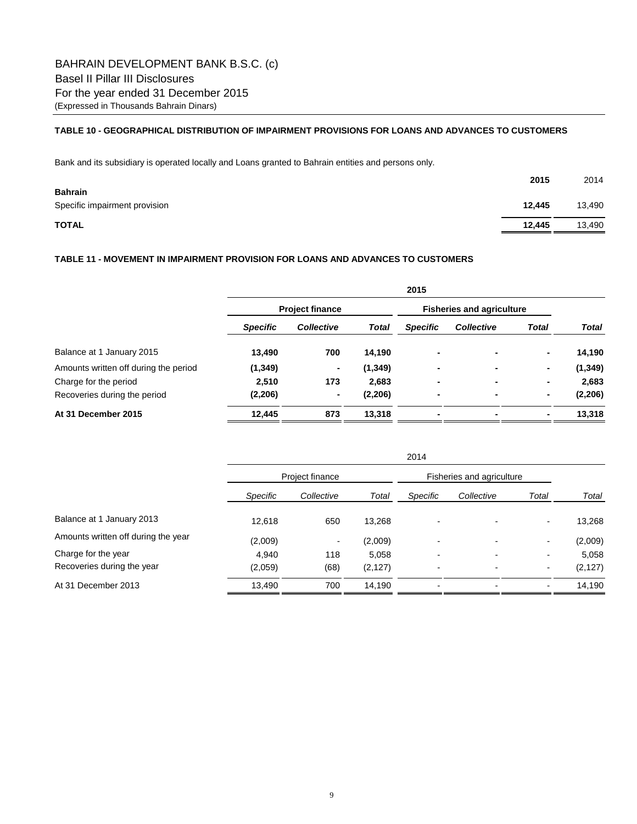# **TABLE 10 - GEOGRAPHICAL DISTRIBUTION OF IMPAIRMENT PROVISIONS FOR LOANS AND ADVANCES TO CUSTOMERS**

Bank and its subsidiary is operated locally and Loans granted to Bahrain entities and persons only.

|                                                 | 2015   | 2014   |
|-------------------------------------------------|--------|--------|
| <b>Bahrain</b><br>Specific impairment provision | 12,445 | 13,490 |
| <b>TOTAL</b>                                    | 12,445 | 13,490 |

## **TABLE 11 - MOVEMENT IN IMPAIRMENT PROVISION FOR LOANS AND ADVANCES TO CUSTOMERS**

|                                       | 2015                   |                   |              |                                  |                   |       |          |  |
|---------------------------------------|------------------------|-------------------|--------------|----------------------------------|-------------------|-------|----------|--|
|                                       | <b>Project finance</b> |                   |              | <b>Fisheries and agriculture</b> |                   |       |          |  |
|                                       | <b>Specific</b>        | <b>Collective</b> | <b>Total</b> | <b>Specific</b>                  | <b>Collective</b> | Total | Total    |  |
| Balance at 1 January 2015             | 13,490                 | 700               | 14,190       | ۰                                |                   | ٠     | 14,190   |  |
| Amounts written off during the period | (1, 349)               | ٠                 | (1, 349)     | ٠                                |                   | ۰     | (1, 349) |  |
| Charge for the period                 | 2,510                  | 173               | 2.683        | $\blacksquare$                   | ۰                 | ٠     | 2,683    |  |
| Recoveries during the period          | (2, 206)               | $\blacksquare$    | (2, 206)     | $\blacksquare$                   | ۰                 |       | (2, 206) |  |
| At 31 December 2015                   | 12,445                 | 873               | 13,318       | ٠                                |                   |       | 13,318   |  |

|                                     |                 | 2014            |          |                          |                           |                          |          |  |  |
|-------------------------------------|-----------------|-----------------|----------|--------------------------|---------------------------|--------------------------|----------|--|--|
|                                     |                 | Project finance |          |                          | Fisheries and agriculture |                          |          |  |  |
|                                     | <b>Specific</b> | Collective      | Total    | Specific                 | Collective                | Total                    | Total    |  |  |
| Balance at 1 January 2013           | 12,618          | 650             | 13,268   |                          |                           | ۰                        | 13,268   |  |  |
| Amounts written off during the year | (2,009)         | $\blacksquare$  | (2,009)  | ٠                        |                           | $\overline{\phantom{0}}$ | (2,009)  |  |  |
| Charge for the year                 | 4.940           | 118             | 5,058    | ۰                        | $\overline{\phantom{0}}$  | -                        | 5,058    |  |  |
| Recoveries during the year          | (2,059)         | (68)            | (2, 127) | $\overline{\phantom{0}}$ | ۰                         | ۰                        | (2, 127) |  |  |
| At 31 December 2013                 | 13,490          | 700             | 14.190   |                          |                           |                          | 14,190   |  |  |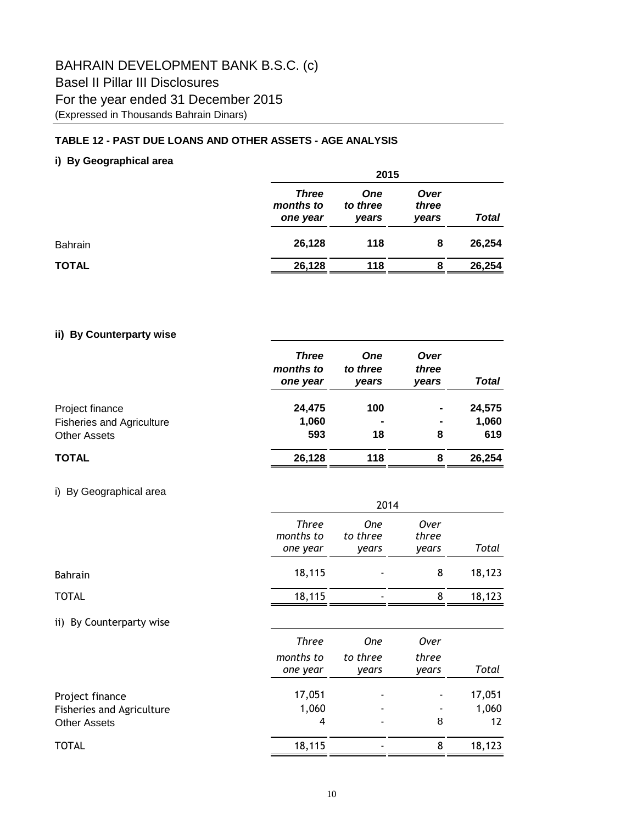# BAHRAIN DEVELOPMENT BANK B.S.C. (c) Basel II Pillar III Disclosures For the year ended 31 December 2015 (Expressed in Thousands Bahrain Dinars)

# **TABLE 12 - PAST DUE LOANS AND OTHER ASSETS - AGE ANALYSIS**

# **i) By Geographical area**

|              |                                       | 2015                            |                        |        |  |  |  |  |
|--------------|---------------------------------------|---------------------------------|------------------------|--------|--|--|--|--|
|              | <b>Three</b><br>months to<br>one year | <b>One</b><br>to three<br>years | Over<br>three<br>vears | Total  |  |  |  |  |
| Bahrain      | 26,128                                | 118                             | 8                      | 26,254 |  |  |  |  |
| <b>TOTAL</b> | 26,128                                | 118                             | 8                      | 26,254 |  |  |  |  |

# **ii) By Counterparty wise**

|                                  | <b>Three</b><br>months to<br>one year | <b>One</b><br>to three<br>years | Over<br>three<br>vears | <b>Total</b> |
|----------------------------------|---------------------------------------|---------------------------------|------------------------|--------------|
| Project finance                  | 24,475                                | 100                             | $\blacksquare$         | 24,575       |
| <b>Fisheries and Agriculture</b> | 1,060                                 | $\blacksquare$                  | $\blacksquare$         | 1,060        |
| <b>Other Assets</b>              | 593                                   | 18                              | 8                      | 619          |
| <b>TOTAL</b>                     | 26,128                                | 118                             | 8                      | 26,254       |

# i) By Geographical area

|                                                  | 2014                           |                                 |                        |             |  |  |  |
|--------------------------------------------------|--------------------------------|---------------------------------|------------------------|-------------|--|--|--|
|                                                  | Three<br>months to<br>one year | <b>One</b><br>to three<br>years | Over<br>three<br>years | Total       |  |  |  |
| <b>Bahrain</b>                                   | 18,115                         |                                 | 8                      | 18,123      |  |  |  |
| <b>TOTAL</b>                                     | 18,115                         |                                 | 8                      | 18,123      |  |  |  |
| By Counterparty wise<br>$\mathbf{ii}$            |                                |                                 |                        |             |  |  |  |
|                                                  | <b>Three</b>                   | <b>One</b>                      | Over                   |             |  |  |  |
|                                                  | months to<br>one year          | to three<br>years               | three<br>years         | Total       |  |  |  |
| Project finance                                  | 17,051                         |                                 |                        | 17,051      |  |  |  |
| Fisheries and Agriculture<br><b>Other Assets</b> | 1,060<br>4                     |                                 | 8                      | 1,060<br>12 |  |  |  |
| <b>TOTAL</b>                                     | 18,115                         |                                 | 8                      | 18,123      |  |  |  |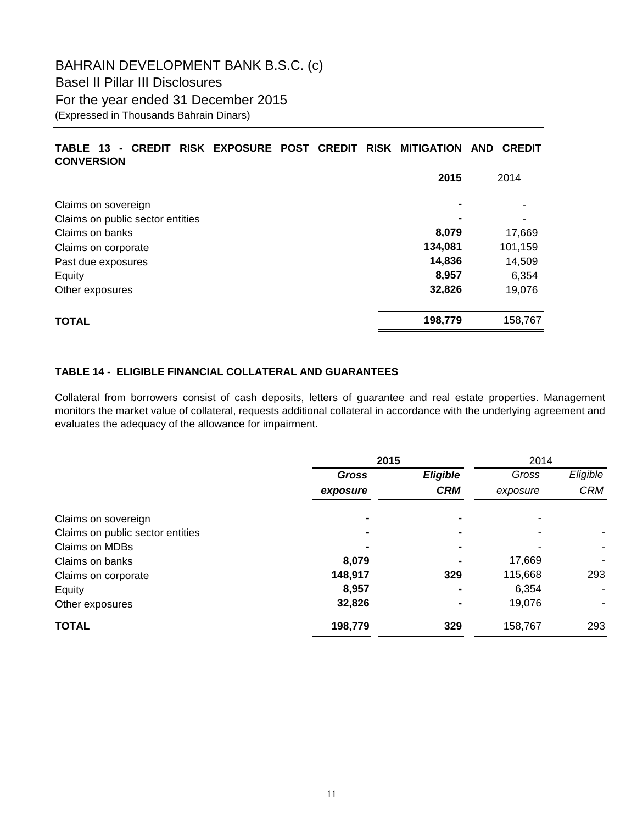# **TABLE 13 - CREDIT RISK EXPOSURE POST CREDIT RISK MITIGATION AND CREDIT CONVERSION**

|                                  | 2015    | 2014    |
|----------------------------------|---------|---------|
| Claims on sovereign              |         |         |
| Claims on public sector entities |         |         |
| Claims on banks                  | 8,079   | 17,669  |
| Claims on corporate              | 134,081 | 101,159 |
| Past due exposures               | 14,836  | 14,509  |
| Equity                           | 8,957   | 6,354   |
| Other exposures                  | 32,826  | 19,076  |
| <b>TOTAL</b>                     | 198,779 | 158,767 |

# **TABLE 14 - ELIGIBLE FINANCIAL COLLATERAL AND GUARANTEES**

Collateral from borrowers consist of cash deposits, letters of guarantee and real estate properties. Management monitors the market value of collateral, requests additional collateral in accordance with the underlying agreement and evaluates the adequacy of the allowance for impairment.

|                                  | 2015         |            |          | 2014       |  |  |
|----------------------------------|--------------|------------|----------|------------|--|--|
|                                  | <b>Gross</b> | Eligible   | Gross    | Eligible   |  |  |
|                                  | exposure     | <b>CRM</b> | exposure | <b>CRM</b> |  |  |
| Claims on sovereign              |              |            |          |            |  |  |
| Claims on public sector entities |              |            |          |            |  |  |
| Claims on MDBs                   |              |            |          |            |  |  |
| Claims on banks                  | 8,079        |            | 17,669   | ٠          |  |  |
| Claims on corporate              | 148,917      | 329        | 115,668  | 293        |  |  |
| Equity                           | 8,957        |            | 6,354    |            |  |  |
| Other exposures                  | 32,826       |            | 19,076   |            |  |  |
| <b>TOTAL</b>                     | 198,779      | 329        | 158,767  | 293        |  |  |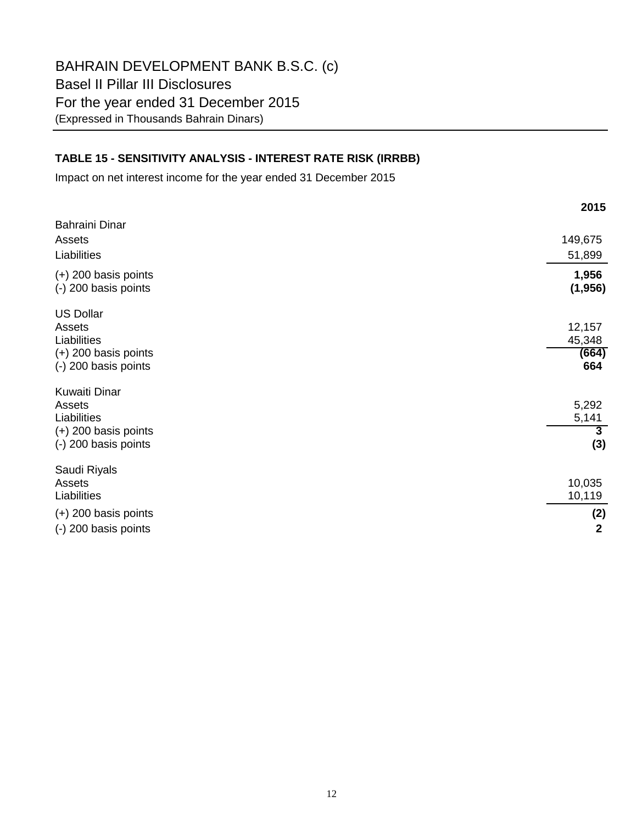# **TABLE 15 - SENSITIVITY ANALYSIS - INTEREST RATE RISK (IRRBB)**

Impact on net interest income for the year ended 31 December 2015

|                                                                                             | 2015                                    |
|---------------------------------------------------------------------------------------------|-----------------------------------------|
| <b>Bahraini Dinar</b><br>Assets<br>Liabilities                                              | 149,675<br>51,899                       |
| $(+)$ 200 basis points<br>(-) 200 basis points                                              | 1,956<br>(1, 956)                       |
| <b>US Dollar</b><br>Assets<br>Liabilities<br>$(+)$ 200 basis points<br>(-) 200 basis points | 12,157<br>45,348<br>(664)<br>664        |
| Kuwaiti Dinar<br>Assets<br>Liabilities<br>$(+)$ 200 basis points<br>(-) 200 basis points    | 5,292<br>5,141<br>$\overline{3}$<br>(3) |
| Saudi Riyals<br>Assets<br>Liabilities<br>$(+)$ 200 basis points<br>(-) 200 basis points     | 10,035<br>10,119<br>(2)<br>$\mathbf{2}$ |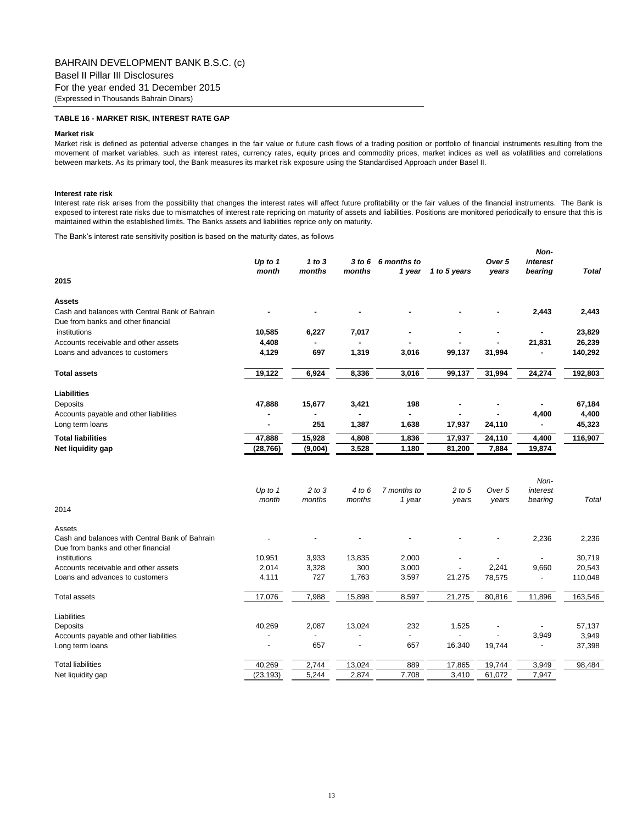## **TABLE 16 - MARKET RISK, INTEREST RATE GAP**

#### **Market risk**

Market risk is defined as potential adverse changes in the fair value or future cash flows of a trading position or portfolio of financial instruments resulting from the movement of market variables, such as interest rates, currency rates, equity prices and commodity prices, market indices as well as volatilities and correlations between markets. As its primary tool, the Bank measures its market risk exposure using the Standardised Approach under Basel II.

#### **Interest rate risk**

Interest rate risk arises from the possibility that changes the interest rates will affect future profitability or the fair values of the financial instruments. The Bank is exposed to interest rate risks due to mismatches of interest rate repricing on maturity of assets and liabilities. Positions are monitored periodically to ensure that this is maintained within the established limits. The Banks assets and liabilities reprice only on maturity.

*Non-*

The Bank's interest rate sensitivity position is based on the maturity dates, as follows

|                                                                                      | Up to 1<br>month | 1 to $3$<br>months | months | 3 to 6 6 months to<br>1 year | 1 to 5 years | Over 5<br>years | <b>NON-</b><br>interest<br>bearing | <b>Total</b> |
|--------------------------------------------------------------------------------------|------------------|--------------------|--------|------------------------------|--------------|-----------------|------------------------------------|--------------|
| 2015                                                                                 |                  |                    |        |                              |              |                 |                                    |              |
| <b>Assets</b>                                                                        |                  |                    |        |                              |              |                 |                                    |              |
| Cash and balances with Central Bank of Bahrain<br>Due from banks and other financial |                  |                    |        |                              |              |                 | 2,443                              | 2,443        |
| institutions                                                                         | 10,585           | 6,227              | 7,017  |                              |              |                 |                                    | 23,829       |
| Accounts receivable and other assets                                                 | 4,408            |                    |        |                              |              |                 | 21,831                             | 26,239       |
| Loans and advances to customers                                                      | 4,129            | 697                | 1,319  | 3,016                        | 99,137       | 31,994          |                                    | 140,292      |
| <b>Total assets</b>                                                                  | 19,122           | 6,924              | 8,336  | 3,016                        | 99,137       | 31,994          | 24,274                             | 192,803      |
| <b>Liabilities</b>                                                                   |                  |                    |        |                              |              |                 |                                    |              |
| Deposits                                                                             | 47,888           | 15,677             | 3,421  | 198                          |              |                 |                                    | 67,184       |
| Accounts payable and other liabilities                                               |                  |                    |        |                              |              |                 | 4,400                              | 4,400        |
| Long term loans                                                                      |                  | 251                | 1,387  | 1,638                        | 17,937       | 24,110          |                                    | 45,323       |
| <b>Total liabilities</b>                                                             | 47,888           | 15,928             | 4,808  | 1,836                        | 17,937       | 24,110          | 4,400                              | 116,907      |
| Net liquidity gap                                                                    | (28, 766)        | (9,004)            | 3,528  | 1,180                        | 81,200       | 7,884           | 19,874                             |              |
|                                                                                      |                  |                    |        |                              |              |                 |                                    |              |
|                                                                                      |                  |                    |        |                              |              |                 | Non-                               |              |
|                                                                                      | Up to $1$        | $2$ to $3$         | 4 to 6 | 7 months to                  | 2 to 5       | Over 5          | interest                           |              |
|                                                                                      | month            | months             | months | 1 year                       | years        | years           | bearing                            | Total        |
| 2014                                                                                 |                  |                    |        |                              |              |                 |                                    |              |
| Assets                                                                               |                  |                    |        |                              |              |                 |                                    |              |
| Cash and balances with Central Bank of Bahrain<br>Due from banks and other financial |                  |                    |        |                              |              |                 | 2,236                              | 2,236        |
| institutions                                                                         | 10,951           | 3,933              | 13,835 | 2,000                        |              |                 |                                    | 30,719       |
| Accounts receivable and other assets                                                 | 2,014            | 3,328              | 300    | 3,000                        |              | 2,241           | 9,660                              | 20,543       |
| Loans and advances to customers                                                      | 4,111            | 727                | 1,763  | 3,597                        | 21,275       | 78,575          |                                    | 110,048      |
| <b>Total assets</b>                                                                  | 17,076           | 7,988              | 15,898 | 8,597                        | 21,275       | 80,816          | 11,896                             | 163,546      |
| Liabilities                                                                          |                  |                    |        |                              |              |                 |                                    |              |
| Deposits                                                                             | 40,269           | 2,087              | 13,024 | 232                          | 1,525        |                 |                                    | 57,137       |
| Accounts payable and other liabilities                                               |                  |                    |        |                              |              |                 | 3,949                              | 3,949        |
| Long term loans                                                                      | J.               | 657                |        | 657                          | 16,340       | 19,744          | $\overline{\phantom{a}}$           | 37,398       |
| <b>Total liabilities</b>                                                             | 40,269           | 2,744              | 13,024 | 889                          | 17,865       | 19,744          | 3,949                              | 98,484       |
| Net liquidity gap                                                                    | (23, 193)        | 5,244              | 2,874  | 7,708                        | 3,410        | 61,072          | 7,947                              |              |